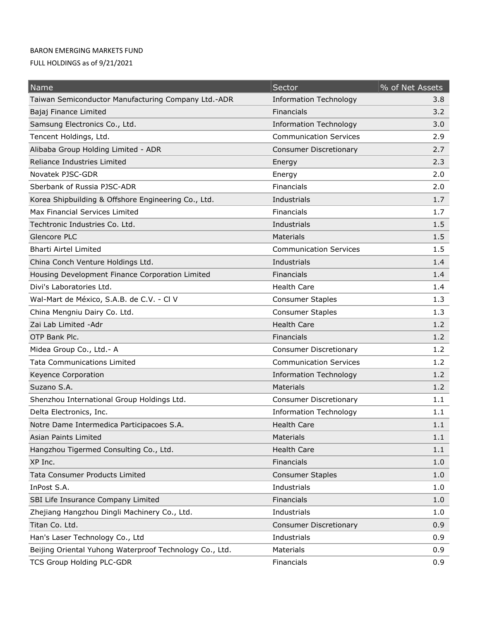## BARON EMERGING MARKETS FUND

FULL HOLDINGS as of 9/21/2021

| Name                                                    | Sector                        | % of Net Assets |
|---------------------------------------------------------|-------------------------------|-----------------|
| Taiwan Semiconductor Manufacturing Company Ltd.-ADR     | <b>Information Technology</b> | 3.8             |
| Bajaj Finance Limited                                   | Financials                    | 3.2             |
| Samsung Electronics Co., Ltd.                           | <b>Information Technology</b> | 3.0             |
| Tencent Holdings, Ltd.                                  | <b>Communication Services</b> | 2.9             |
| Alibaba Group Holding Limited - ADR                     | <b>Consumer Discretionary</b> | 2.7             |
| Reliance Industries Limited                             | Energy                        | 2.3             |
| Novatek PJSC-GDR                                        | Energy                        | 2.0             |
| Sberbank of Russia PJSC-ADR                             | Financials                    | 2.0             |
| Korea Shipbuilding & Offshore Engineering Co., Ltd.     | Industrials                   | 1.7             |
| Max Financial Services Limited                          | Financials                    | 1.7             |
| Techtronic Industries Co. Ltd.                          | Industrials                   | 1.5             |
| Glencore PLC                                            | <b>Materials</b>              | 1.5             |
| <b>Bharti Airtel Limited</b>                            | <b>Communication Services</b> | 1.5             |
| China Conch Venture Holdings Ltd.                       | Industrials                   | 1.4             |
| Housing Development Finance Corporation Limited         | <b>Financials</b>             | 1.4             |
| Divi's Laboratories Ltd.                                | <b>Health Care</b>            | 1.4             |
| Wal-Mart de México, S.A.B. de C.V. - Cl V               | <b>Consumer Staples</b>       | 1.3             |
| China Mengniu Dairy Co. Ltd.                            | <b>Consumer Staples</b>       | 1.3             |
| Zai Lab Limited - Adr                                   | <b>Health Care</b>            | 1.2             |
| OTP Bank Plc.                                           | Financials                    | 1.2             |
| Midea Group Co., Ltd.- A                                | Consumer Discretionary        | 1.2             |
| <b>Tata Communications Limited</b>                      | <b>Communication Services</b> | 1.2             |
| Keyence Corporation                                     | <b>Information Technology</b> | 1.2             |
| Suzano S.A.                                             | <b>Materials</b>              | 1.2             |
| Shenzhou International Group Holdings Ltd.              | <b>Consumer Discretionary</b> | 1.1             |
| Delta Electronics, Inc.                                 | <b>Information Technology</b> | 1.1             |
| Notre Dame Intermedica Participacoes S.A.               | <b>Health Care</b>            | 1.1             |
| Asian Paints Limited                                    | Materials                     | 1.1             |
| Hangzhou Tigermed Consulting Co., Ltd.                  | <b>Health Care</b>            | 1.1             |
| XP Inc.                                                 | Financials                    | 1.0             |
| <b>Tata Consumer Products Limited</b>                   | <b>Consumer Staples</b>       | 1.0             |
| InPost S.A.                                             | Industrials                   | 1.0             |
| SBI Life Insurance Company Limited                      | Financials                    | 1.0             |
| Zhejiang Hangzhou Dingli Machinery Co., Ltd.            | Industrials                   | 1.0             |
| Titan Co. Ltd.                                          | <b>Consumer Discretionary</b> | 0.9             |
| Han's Laser Technology Co., Ltd                         | Industrials                   | 0.9             |
| Beijing Oriental Yuhong Waterproof Technology Co., Ltd. | Materials                     | 0.9             |
| <b>TCS Group Holding PLC-GDR</b>                        | Financials                    | 0.9             |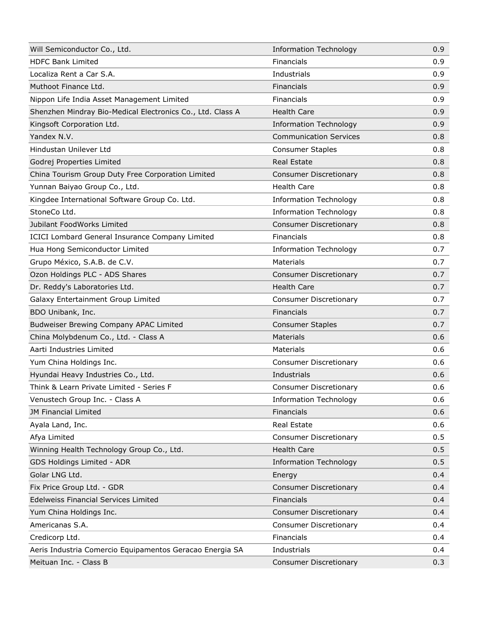| Will Semiconductor Co., Ltd.                               | <b>Information Technology</b> | 0.9 |
|------------------------------------------------------------|-------------------------------|-----|
| <b>HDFC Bank Limited</b>                                   | Financials                    | 0.9 |
| Localiza Rent a Car S.A.                                   | Industrials                   | 0.9 |
| Muthoot Finance Ltd.                                       | Financials                    | 0.9 |
| Nippon Life India Asset Management Limited                 | Financials                    | 0.9 |
| Shenzhen Mindray Bio-Medical Electronics Co., Ltd. Class A | <b>Health Care</b>            | 0.9 |
| Kingsoft Corporation Ltd.                                  | <b>Information Technology</b> | 0.9 |
| Yandex N.V.                                                | <b>Communication Services</b> | 0.8 |
| Hindustan Unilever Ltd                                     | <b>Consumer Staples</b>       | 0.8 |
| Godrej Properties Limited                                  | <b>Real Estate</b>            | 0.8 |
| China Tourism Group Duty Free Corporation Limited          | <b>Consumer Discretionary</b> | 0.8 |
| Yunnan Baiyao Group Co., Ltd.                              | <b>Health Care</b>            | 0.8 |
| Kingdee International Software Group Co. Ltd.              | <b>Information Technology</b> | 0.8 |
| StoneCo Ltd.                                               | <b>Information Technology</b> | 0.8 |
| Jubilant FoodWorks Limited                                 | <b>Consumer Discretionary</b> | 0.8 |
| ICICI Lombard General Insurance Company Limited            | Financials                    | 0.8 |
| Hua Hong Semiconductor Limited                             | <b>Information Technology</b> | 0.7 |
| Grupo México, S.A.B. de C.V.                               | <b>Materials</b>              | 0.7 |
| Ozon Holdings PLC - ADS Shares                             | <b>Consumer Discretionary</b> | 0.7 |
| Dr. Reddy's Laboratories Ltd.                              | <b>Health Care</b>            | 0.7 |
| Galaxy Entertainment Group Limited                         | <b>Consumer Discretionary</b> | 0.7 |
| BDO Unibank, Inc.                                          | Financials                    | 0.7 |
| Budweiser Brewing Company APAC Limited                     | <b>Consumer Staples</b>       | 0.7 |
| China Molybdenum Co., Ltd. - Class A                       | Materials                     | 0.6 |
| Aarti Industries Limited                                   | Materials                     | 0.6 |
| Yum China Holdings Inc.                                    | <b>Consumer Discretionary</b> | 0.6 |
| Hyundai Heavy Industries Co., Ltd.                         | Industrials                   | 0.6 |
| Think & Learn Private Limited - Series F                   | <b>Consumer Discretionary</b> | 0.6 |
| Venustech Group Inc. - Class A                             | <b>Information Technology</b> | 0.6 |
| JM Financial Limited                                       | Financials                    | 0.6 |
| Ayala Land, Inc.                                           | Real Estate                   | 0.6 |
| Afya Limited                                               | <b>Consumer Discretionary</b> | 0.5 |
| Winning Health Technology Group Co., Ltd.                  | <b>Health Care</b>            | 0.5 |
| GDS Holdings Limited - ADR                                 | <b>Information Technology</b> | 0.5 |
| Golar LNG Ltd.                                             | Energy                        | 0.4 |
| Fix Price Group Ltd. - GDR                                 | <b>Consumer Discretionary</b> | 0.4 |
| <b>Edelweiss Financial Services Limited</b>                | Financials                    | 0.4 |
| Yum China Holdings Inc.                                    | <b>Consumer Discretionary</b> | 0.4 |
| Americanas S.A.                                            | <b>Consumer Discretionary</b> | 0.4 |
| Credicorp Ltd.                                             | Financials                    | 0.4 |
| Aeris Industria Comercio Equipamentos Geracao Energia SA   | Industrials                   | 0.4 |
| Meituan Inc. - Class B                                     | <b>Consumer Discretionary</b> | 0.3 |